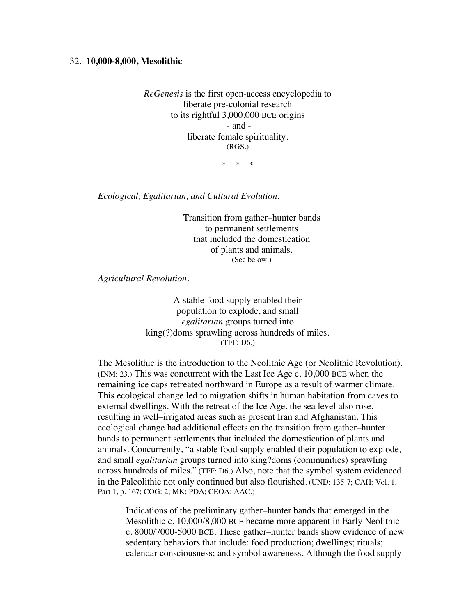## 32. **10,000-8,000, Mesolithic**

*ReGenesis* is the first open-access encyclopedia to liberate pre-colonial research to its rightful 3,000,000 BCE origins - and liberate female spirituality. (RGS.)

\* \* \*

*Ecological, Egalitarian, and Cultural Evolution.*

Transition from gather–hunter bands to permanent settlements that included the domestication of plants and animals. (See below.)

*Agricultural Revolution.*

A stable food supply enabled their population to explode, and small *egalitarian* groups turned into king(?)doms sprawling across hundreds of miles. (TFF: D6.)

The Mesolithic is the introduction to the Neolithic Age (or Neolithic Revolution). (INM: 23.) This was concurrent with the Last Ice Age c. 10,000 BCE when the remaining ice caps retreated northward in Europe as a result of warmer climate. This ecological change led to migration shifts in human habitation from caves to external dwellings. With the retreat of the Ice Age, the sea level also rose, resulting in well–irrigated areas such as present Iran and Afghanistan. This ecological change had additional effects on the transition from gather–hunter bands to permanent settlements that included the domestication of plants and animals. Concurrently, "a stable food supply enabled their population to explode, and small *egalitarian* groups turned into king?doms (communities) sprawling across hundreds of miles." (TFF: D6.) Also, note that the symbol system evidenced in the Paleolithic not only continued but also flourished. (UND: 135-7; CAH: Vol. 1, Part 1, p. 167; COG: 2; MK; PDA; CEOA: AAC.)

Indications of the preliminary gather–hunter bands that emerged in the Mesolithic c. 10,000/8,000 BCE became more apparent in Early Neolithic c. 8000/7000-5000 BCE. These gather–hunter bands show evidence of new sedentary behaviors that include: food production; dwellings; rituals; calendar consciousness; and symbol awareness. Although the food supply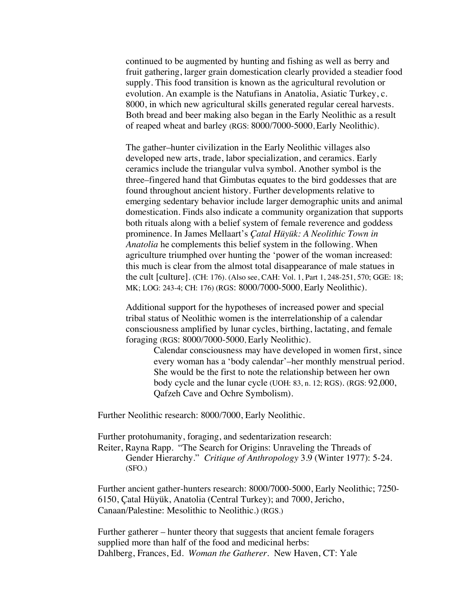continued to be augmented by hunting and fishing as well as berry and fruit gathering, larger grain domestication clearly provided a steadier food supply. This food transition is known as the agricultural revolution or evolution. An example is the Natufians in Anatolia, Asiatic Turkey, c. 8000, in which new agricultural skills generated regular cereal harvests. Both bread and beer making also began in the Early Neolithic as a result of reaped wheat and barley (RGS: 8000/7000-5000, Early Neolithic).

The gather–hunter civilization in the Early Neolithic villages also developed new arts, trade, labor specialization, and ceramics. Early ceramics include the triangular vulva symbol. Another symbol is the three–fingered hand that Gimbutas equates to the bird goddesses that are found throughout ancient history. Further developments relative to emerging sedentary behavior include larger demographic units and animal domestication. Finds also indicate a community organization that supports both rituals along with a belief system of female reverence and goddess prominence. In James Mellaart's *Çatal Hüyük: A Neolithic Town in Anatolia* he complements this belief system in the following. When agriculture triumphed over hunting the 'power of the woman increased: this much is clear from the almost total disappearance of male statues in the cult [culture]. (CH: 176). (Also see, CAH: Vol. 1, Part 1, 248-251, 570; GGE: 18; MK; LOG: 243-4; CH: 176) (RGS: 8000/7000-5000, Early Neolithic).

Additional support for the hypotheses of increased power and special tribal status of Neolithic women is the interrelationship of a calendar consciousness amplified by lunar cycles, birthing, lactating, and female foraging (RGS: 8000/7000-5000, Early Neolithic).

> Calendar consciousness may have developed in women first, since every woman has a 'body calendar'–her monthly menstrual period. She would be the first to note the relationship between her own body cycle and the lunar cycle (UOH: 83, n. 12; RGS). (RGS: 92,000, Qafzeh Cave and Ochre Symbolism).

Further Neolithic research: 8000/7000, Early Neolithic.

Further protohumanity, foraging, and sedentarization research: Reiter, Rayna Rapp. "The Search for Origins: Unraveling the Threads of Gender Hierarchy." *Critique of Anthropology* 3.9 (Winter 1977): 5-24. (SFO.)

Further ancient gather-hunters research: 8000/7000-5000, Early Neolithic; 7250- 6150, Çatal Hüyük, Anatolia (Central Turkey); and 7000, Jericho, Canaan/Palestine: Mesolithic to Neolithic.) (RGS.)

Further gatherer – hunter theory that suggests that ancient female foragers supplied more than half of the food and medicinal herbs: Dahlberg, Frances, Ed. *Woman the Gatherer.* New Haven, CT: Yale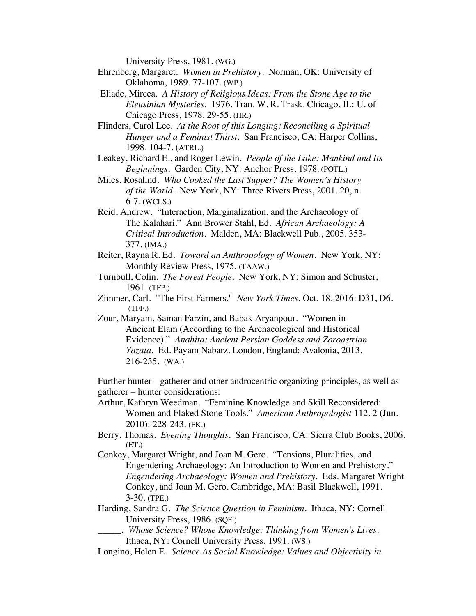University Press, 1981. (WG.)

- Ehrenberg, Margaret. *Women in Prehistory*. Norman, OK: University of Oklahoma, 1989. 77-107. (WP.)
- Eliade, Mircea. *A History of Religious Ideas: From the Stone Age to the Eleusinian Mysteries.* 1976. Tran. W. R. Trask. Chicago, IL: U. of Chicago Press, 1978. 29-55. (HR.)
- Flinders, Carol Lee. *At the Root of this Longing: Reconciling a Spiritual Hunger and a Feminist Thirst*. San Francisco, CA: Harper Collins, 1998. 104-7. (ATRL.)
- Leakey, Richard E., and Roger Lewin. *People of the Lake: Mankind and Its Beginnings*. Garden City, NY: Anchor Press, 1978. (POTL.)
- Miles, Rosalind. *Who Cooked the Last Supper? The Women's History of the World*. New York, NY: Three Rivers Press, 2001. 20, n. 6-7. (WCLS.)
- Reid, Andrew. "Interaction, Marginalization, and the Archaeology of The Kalahari." Ann Brower Stahl, Ed. *African Archaeology: A Critical Introduction*. Malden, MA: Blackwell Pub., 2005. 353- 377. (IMA.)
- Reiter, Rayna R. Ed. *Toward an Anthropology of Women*. New York, NY: Monthly Review Press, 1975. (TAAW.)
- Turnbull, Colin. *The Forest People*. New York, NY: Simon and Schuster, 1961. (TFP.)
- Zimmer, Carl. "The First Farmers." *New York Times*, Oct. 18, 2016: D31, D6. (TFF.)
- Zour, Maryam, Saman Farzin, and Babak Aryanpour. "Women in Ancient Elam (According to the Archaeological and Historical Evidence)." *Anahita: Ancient Persian Goddess and Zoroastrian Yazata.* Ed. Payam Nabarz. London, England: Avalonia, 2013. 216-235. (WA.)

Further hunter – gatherer and other androcentric organizing principles, as well as gatherer – hunter considerations:

Arthur, Kathryn Weedman. "Feminine Knowledge and Skill Reconsidered: Women and Flaked Stone Tools." *American Anthropologist* 112. 2 (Jun. 2010): 228-243. (FK.)

- Berry, Thomas. *Evening Thoughts.* San Francisco, CA: Sierra Club Books, 2006. (ET.)
- Conkey, Margaret Wright, and Joan M. Gero. "Tensions, Pluralities, and Engendering Archaeology: An Introduction to Women and Prehistory." *Engendering Archaeology: Women and Prehistory*. Eds. Margaret Wright Conkey, and Joan M. Gero. Cambridge, MA: Basil Blackwell, 1991. 3-30. (TPE.)

Harding, Sandra G. *The Science Question in Feminism*. Ithaca, NY: Cornell University Press, 1986. (SQF.)

- \_\_\_\_\_. *Whose Science? Whose Knowledge: Thinking from Women's Lives.* Ithaca, NY: Cornell University Press, 1991. (WS.)
- Longino, Helen E. *Science As Social Knowledge: Values and Objectivity in*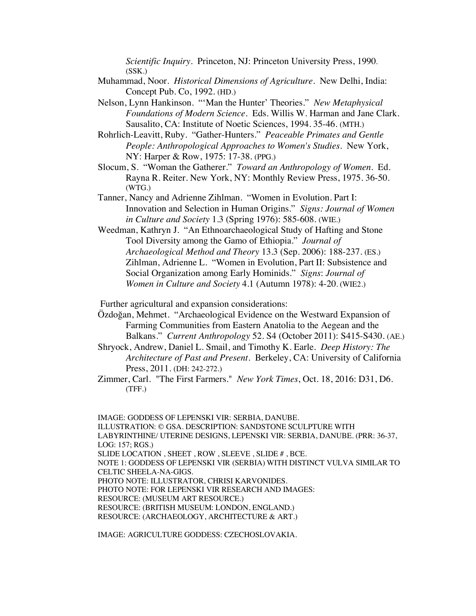*Scientific Inquiry.* Princeton, NJ: Princeton University Press, 1990. (SSK.)

- Muhammad, Noor. *Historical Dimensions of Agriculture*. New Delhi, India: Concept Pub. Co, 1992. (HD.)
- Nelson, Lynn Hankinson. "'Man the Hunter' Theories." *New Metaphysical Foundations of Modern Science.* Eds. Willis W. Harman and Jane Clark. Sausalito, CA: Institute of Noetic Sciences, 1994. 35-46. (MTH.)
- Rohrlich-Leavitt, Ruby. "Gather-Hunters." *Peaceable Primates and Gentle People: Anthropological Approaches to Women's Studies*. New York, NY: Harper & Row, 1975: 17-38. (PPG.)
- Slocum, S. "Woman the Gatherer." *Toward an Anthropology of Women*. Ed. Rayna R. Reiter. New York, NY: Monthly Review Press, 1975. 36-50. (WTG.)
- Tanner, Nancy and Adrienne Zihlman. "Women in Evolution. Part I: Innovation and Selection in Human Origins." *Signs: Journal of Women in Culture and Society* 1.3 (Spring 1976): 585-608. (WIE.)
- Weedman, Kathryn J. "An Ethnoarchaeological Study of Hafting and Stone Tool Diversity among the Gamo of Ethiopia." *Journal of Archaeological Method and Theory* 13.3 (Sep. 2006): 188-237. (ES.) Zihlman, Adrienne L. "Women in Evolution, Part II: Subsistence and Social Organization among Early Hominids." *Signs*: *Journal of Women in Culture and Society* 4.1 (Autumn 1978): 4-20. (WIE2.)

Further agricultural and expansion considerations:

- Özdoğan, Mehmet. "Archaeological Evidence on the Westward Expansion of Farming Communities from Eastern Anatolia to the Aegean and the Balkans." *Current Anthropology* 52. S4 (October 2011): S415-S430. (AE.)
- Shryock, Andrew, Daniel L. Smail, and Timothy K. Earle. *Deep History: The Architecture of Past and Present*. Berkeley, CA: University of California Press, 2011. (DH: 242-272.)
- Zimmer, Carl. "The First Farmers." *New York Times*, Oct. 18, 2016: D31, D6. (TFF.)

IMAGE: GODDESS OF LEPENSKI VIR: SERBIA, DANUBE. ILLUSTRATION: © GSA. DESCRIPTION: SANDSTONE SCULPTURE WITH LABYRINTHINE/ UTERINE DESIGNS, LEPENSKI VIR: SERBIA, DANUBE. (PRR: 36-37, LOG: 157; RGS.) SLIDE LOCATION , SHEET , ROW , SLEEVE , SLIDE # , BCE. NOTE 1: GODDESS OF LEPENSKI VIR (SERBIA) WITH DISTINCT VULVA SIMILAR TO CELTIC SHEELA-NA-GIGS. PHOTO NOTE: ILLUSTRATOR, CHRISI KARVONIDES. PHOTO NOTE: FOR LEPENSKI VIR RESEARCH AND IMAGES: RESOURCE: (MUSEUM ART RESOURCE.) RESOURCE: (BRITISH MUSEUM: LONDON, ENGLAND.) RESOURCE: (ARCHAEOLOGY, ARCHITECTURE & ART.)

IMAGE: AGRICULTURE GODDESS: CZECHOSLOVAKIA.